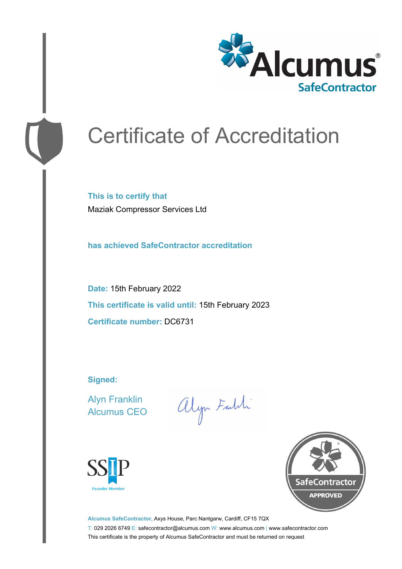

# Certificate of Accreditation

**This is to certify that** Maziak Compressor Services Ltd

**has achieved SafeContractor accreditation**

**Date:** 15th February 2022 **This certificate is valid until:** 15th February 2023 **Certificate number:** DC6731

**Signed:**

Alyn Franklin Alcumus CEO

alyn Faith





**Alcumus SafeContractor,** Axys House, Parc Nantgarw, Cardiff, CF15 7QX T: 029 2026 6749 E: safecontractor@alcumus.com W: www.alcumus.com | www.safecontractor.com This certificate is the property of Alcumus SafeContractor and must be returned on request